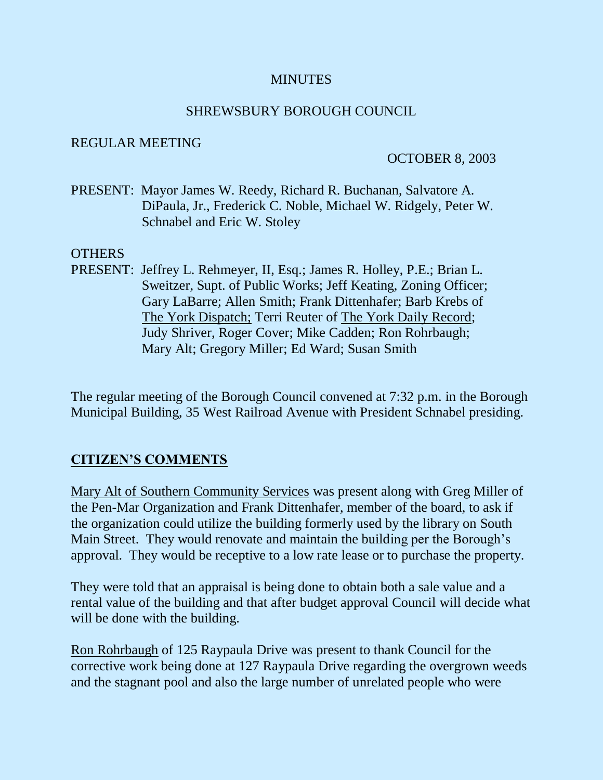## **MINUTES**

### SHREWSBURY BOROUGH COUNCIL

### REGULAR MEETING

### OCTOBER 8, 2003

PRESENT: Mayor James W. Reedy, Richard R. Buchanan, Salvatore A. DiPaula, Jr., Frederick C. Noble, Michael W. Ridgely, Peter W. Schnabel and Eric W. Stoley

### **OTHERS**

PRESENT: Jeffrey L. Rehmeyer, II, Esq.; James R. Holley, P.E.; Brian L. Sweitzer, Supt. of Public Works; Jeff Keating, Zoning Officer; Gary LaBarre; Allen Smith; Frank Dittenhafer; Barb Krebs of The York Dispatch; Terri Reuter of The York Daily Record; Judy Shriver, Roger Cover; Mike Cadden; Ron Rohrbaugh; Mary Alt; Gregory Miller; Ed Ward; Susan Smith

The regular meeting of the Borough Council convened at 7:32 p.m. in the Borough Municipal Building, 35 West Railroad Avenue with President Schnabel presiding.

## **CITIZEN'S COMMENTS**

Mary Alt of Southern Community Services was present along with Greg Miller of the Pen-Mar Organization and Frank Dittenhafer, member of the board, to ask if the organization could utilize the building formerly used by the library on South Main Street. They would renovate and maintain the building per the Borough's approval. They would be receptive to a low rate lease or to purchase the property.

They were told that an appraisal is being done to obtain both a sale value and a rental value of the building and that after budget approval Council will decide what will be done with the building.

Ron Rohrbaugh of 125 Raypaula Drive was present to thank Council for the corrective work being done at 127 Raypaula Drive regarding the overgrown weeds and the stagnant pool and also the large number of unrelated people who were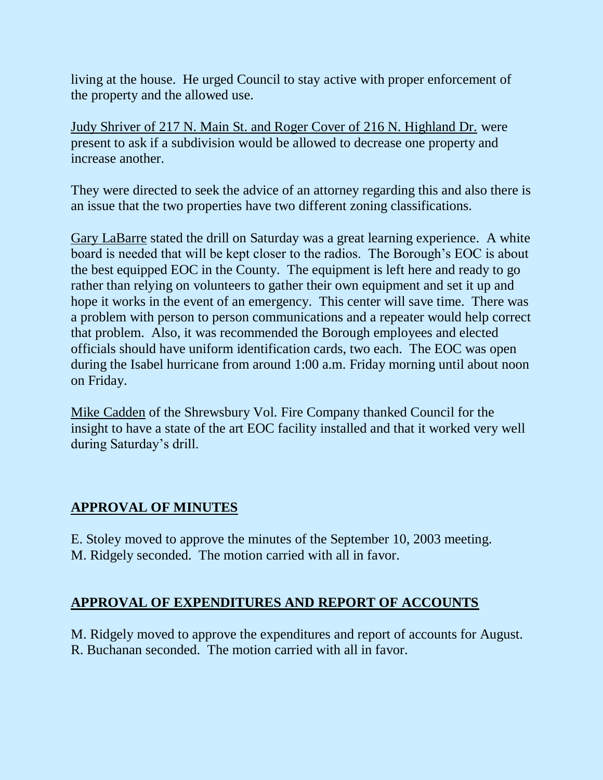living at the house. He urged Council to stay active with proper enforcement of the property and the allowed use.

Judy Shriver of 217 N. Main St. and Roger Cover of 216 N. Highland Dr. were present to ask if a subdivision would be allowed to decrease one property and increase another.

They were directed to seek the advice of an attorney regarding this and also there is an issue that the two properties have two different zoning classifications.

Gary LaBarre stated the drill on Saturday was a great learning experience. A white board is needed that will be kept closer to the radios. The Borough's EOC is about the best equipped EOC in the County. The equipment is left here and ready to go rather than relying on volunteers to gather their own equipment and set it up and hope it works in the event of an emergency. This center will save time. There was a problem with person to person communications and a repeater would help correct that problem. Also, it was recommended the Borough employees and elected officials should have uniform identification cards, two each. The EOC was open during the Isabel hurricane from around 1:00 a.m. Friday morning until about noon on Friday.

Mike Cadden of the Shrewsbury Vol. Fire Company thanked Council for the insight to have a state of the art EOC facility installed and that it worked very well during Saturday's drill.

# **APPROVAL OF MINUTES**

E. Stoley moved to approve the minutes of the September 10, 2003 meeting. M. Ridgely seconded. The motion carried with all in favor.

# **APPROVAL OF EXPENDITURES AND REPORT OF ACCOUNTS**

M. Ridgely moved to approve the expenditures and report of accounts for August. R. Buchanan seconded. The motion carried with all in favor.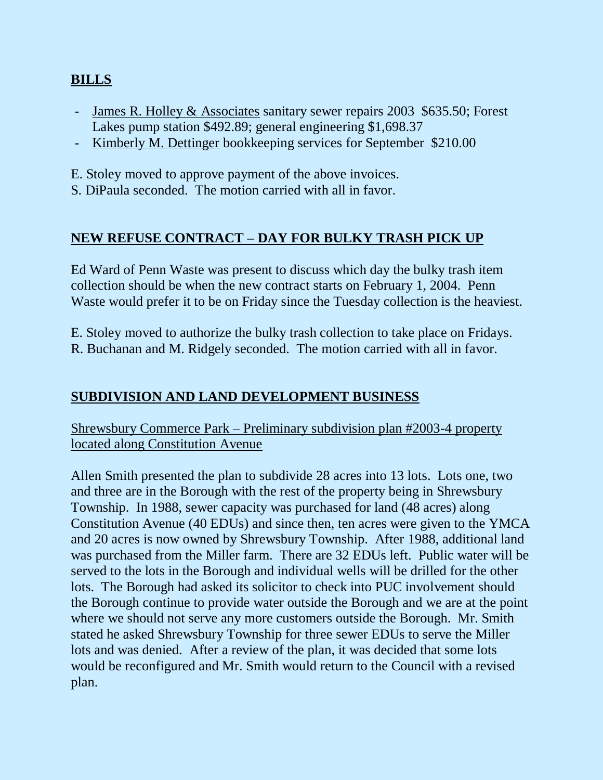# **BILLS**

- James R. Holley & Associates sanitary sewer repairs 2003 \$635.50; Forest Lakes pump station \$492.89; general engineering \$1,698.37
- Kimberly M. Dettinger bookkeeping services for September \$210.00
- E. Stoley moved to approve payment of the above invoices.
- S. DiPaula seconded. The motion carried with all in favor.

# **NEW REFUSE CONTRACT – DAY FOR BULKY TRASH PICK UP**

Ed Ward of Penn Waste was present to discuss which day the bulky trash item collection should be when the new contract starts on February 1, 2004. Penn Waste would prefer it to be on Friday since the Tuesday collection is the heaviest.

E. Stoley moved to authorize the bulky trash collection to take place on Fridays. R. Buchanan and M. Ridgely seconded. The motion carried with all in favor.

# **SUBDIVISION AND LAND DEVELOPMENT BUSINESS**

Shrewsbury Commerce Park – Preliminary subdivision plan #2003-4 property located along Constitution Avenue

Allen Smith presented the plan to subdivide 28 acres into 13 lots. Lots one, two and three are in the Borough with the rest of the property being in Shrewsbury Township. In 1988, sewer capacity was purchased for land (48 acres) along Constitution Avenue (40 EDUs) and since then, ten acres were given to the YMCA and 20 acres is now owned by Shrewsbury Township. After 1988, additional land was purchased from the Miller farm. There are 32 EDUs left. Public water will be served to the lots in the Borough and individual wells will be drilled for the other lots. The Borough had asked its solicitor to check into PUC involvement should the Borough continue to provide water outside the Borough and we are at the point where we should not serve any more customers outside the Borough. Mr. Smith stated he asked Shrewsbury Township for three sewer EDUs to serve the Miller lots and was denied. After a review of the plan, it was decided that some lots would be reconfigured and Mr. Smith would return to the Council with a revised plan.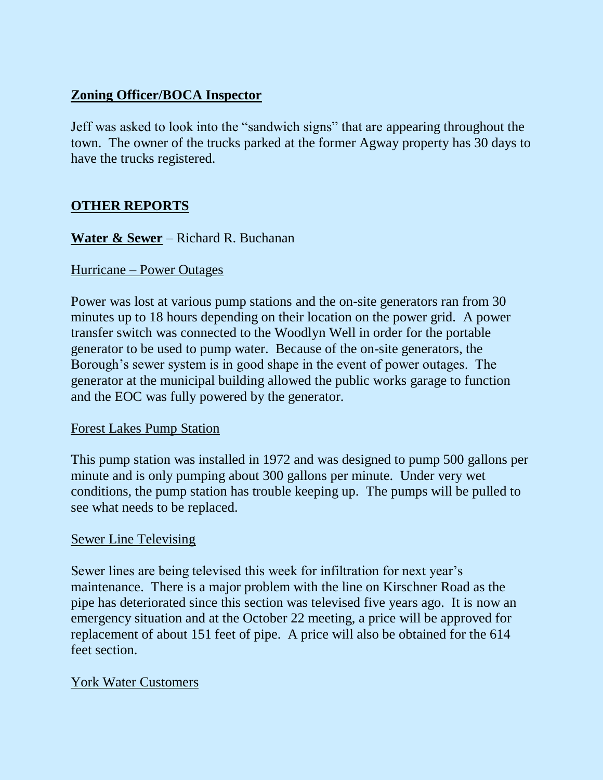# **Zoning Officer/BOCA Inspector**

Jeff was asked to look into the "sandwich signs" that are appearing throughout the town. The owner of the trucks parked at the former Agway property has 30 days to have the trucks registered.

# **OTHER REPORTS**

## **Water & Sewer** – Richard R. Buchanan

### Hurricane – Power Outages

Power was lost at various pump stations and the on-site generators ran from 30 minutes up to 18 hours depending on their location on the power grid. A power transfer switch was connected to the Woodlyn Well in order for the portable generator to be used to pump water. Because of the on-site generators, the Borough's sewer system is in good shape in the event of power outages. The generator at the municipal building allowed the public works garage to function and the EOC was fully powered by the generator.

#### Forest Lakes Pump Station

This pump station was installed in 1972 and was designed to pump 500 gallons per minute and is only pumping about 300 gallons per minute. Under very wet conditions, the pump station has trouble keeping up. The pumps will be pulled to see what needs to be replaced.

## Sewer Line Televising

Sewer lines are being televised this week for infiltration for next year's maintenance. There is a major problem with the line on Kirschner Road as the pipe has deteriorated since this section was televised five years ago. It is now an emergency situation and at the October 22 meeting, a price will be approved for replacement of about 151 feet of pipe. A price will also be obtained for the 614 feet section.

## York Water Customers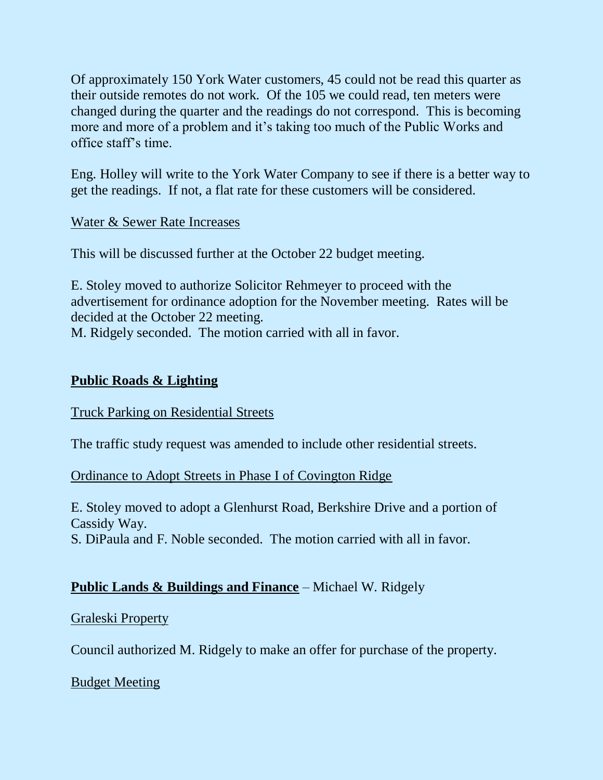Of approximately 150 York Water customers, 45 could not be read this quarter as their outside remotes do not work. Of the 105 we could read, ten meters were changed during the quarter and the readings do not correspond. This is becoming more and more of a problem and it's taking too much of the Public Works and office staff's time.

Eng. Holley will write to the York Water Company to see if there is a better way to get the readings. If not, a flat rate for these customers will be considered.

### Water & Sewer Rate Increases

This will be discussed further at the October 22 budget meeting.

E. Stoley moved to authorize Solicitor Rehmeyer to proceed with the advertisement for ordinance adoption for the November meeting. Rates will be decided at the October 22 meeting.

M. Ridgely seconded. The motion carried with all in favor.

## **Public Roads & Lighting**

#### Truck Parking on Residential Streets

The traffic study request was amended to include other residential streets.

## Ordinance to Adopt Streets in Phase I of Covington Ridge

E. Stoley moved to adopt a Glenhurst Road, Berkshire Drive and a portion of Cassidy Way.

S. DiPaula and F. Noble seconded. The motion carried with all in favor.

# **Public Lands & Buildings and Finance** – Michael W. Ridgely

## Graleski Property

Council authorized M. Ridgely to make an offer for purchase of the property.

## Budget Meeting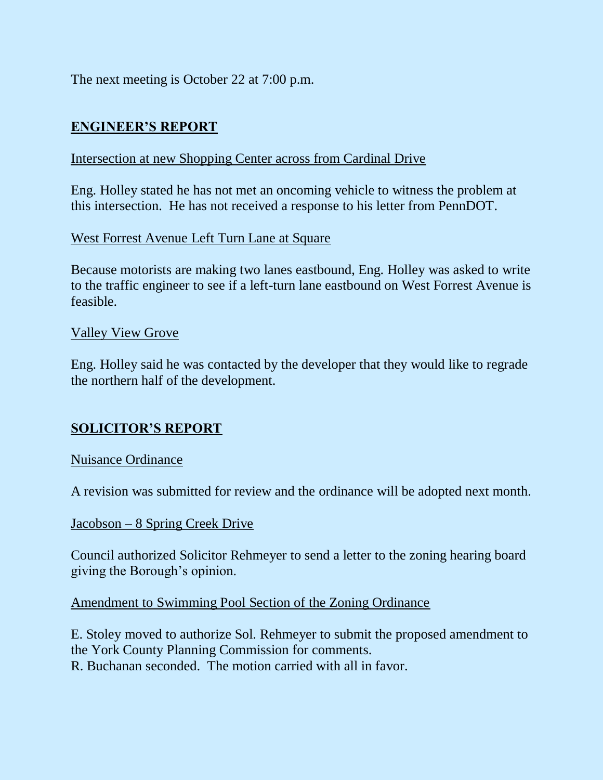The next meeting is October 22 at 7:00 p.m.

# **ENGINEER'S REPORT**

## Intersection at new Shopping Center across from Cardinal Drive

Eng. Holley stated he has not met an oncoming vehicle to witness the problem at this intersection. He has not received a response to his letter from PennDOT.

## West Forrest Avenue Left Turn Lane at Square

Because motorists are making two lanes eastbound, Eng. Holley was asked to write to the traffic engineer to see if a left-turn lane eastbound on West Forrest Avenue is feasible.

### Valley View Grove

Eng. Holley said he was contacted by the developer that they would like to regrade the northern half of the development.

# **SOLICITOR'S REPORT**

#### Nuisance Ordinance

A revision was submitted for review and the ordinance will be adopted next month.

#### Jacobson – 8 Spring Creek Drive

Council authorized Solicitor Rehmeyer to send a letter to the zoning hearing board giving the Borough's opinion.

#### Amendment to Swimming Pool Section of the Zoning Ordinance

E. Stoley moved to authorize Sol. Rehmeyer to submit the proposed amendment to the York County Planning Commission for comments. R. Buchanan seconded. The motion carried with all in favor.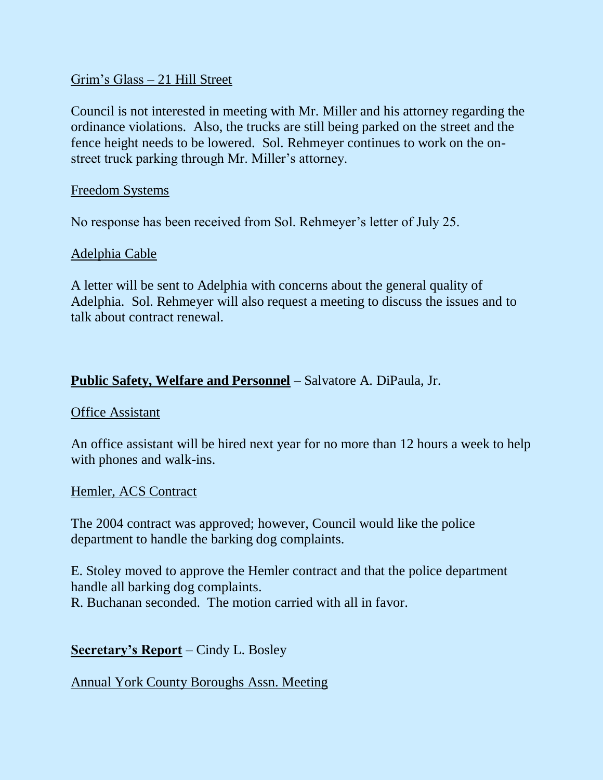## Grim's Glass – 21 Hill Street

Council is not interested in meeting with Mr. Miller and his attorney regarding the ordinance violations. Also, the trucks are still being parked on the street and the fence height needs to be lowered. Sol. Rehmeyer continues to work on the onstreet truck parking through Mr. Miller's attorney.

### Freedom Systems

No response has been received from Sol. Rehmeyer's letter of July 25.

## Adelphia Cable

A letter will be sent to Adelphia with concerns about the general quality of Adelphia. Sol. Rehmeyer will also request a meeting to discuss the issues and to talk about contract renewal.

## **Public Safety, Welfare and Personnel** – Salvatore A. DiPaula, Jr.

#### Office Assistant

An office assistant will be hired next year for no more than 12 hours a week to help with phones and walk-ins.

#### Hemler, ACS Contract

The 2004 contract was approved; however, Council would like the police department to handle the barking dog complaints.

E. Stoley moved to approve the Hemler contract and that the police department handle all barking dog complaints. R. Buchanan seconded. The motion carried with all in favor.

## **Secretary's Report** – Cindy L. Bosley

## Annual York County Boroughs Assn. Meeting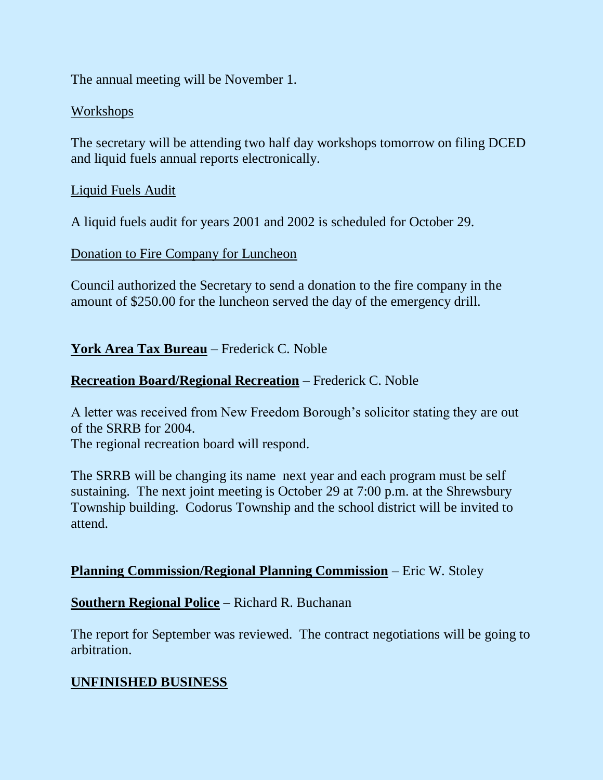The annual meeting will be November 1.

### Workshops

The secretary will be attending two half day workshops tomorrow on filing DCED and liquid fuels annual reports electronically.

### Liquid Fuels Audit

A liquid fuels audit for years 2001 and 2002 is scheduled for October 29.

#### Donation to Fire Company for Luncheon

Council authorized the Secretary to send a donation to the fire company in the amount of \$250.00 for the luncheon served the day of the emergency drill.

## **York Area Tax Bureau** – Frederick C. Noble

## **Recreation Board/Regional Recreation** – Frederick C. Noble

A letter was received from New Freedom Borough's solicitor stating they are out of the SRRB for 2004.

The regional recreation board will respond.

The SRRB will be changing its name next year and each program must be self sustaining. The next joint meeting is October 29 at 7:00 p.m. at the Shrewsbury Township building. Codorus Township and the school district will be invited to attend.

## **Planning Commission/Regional Planning Commission** – Eric W. Stoley

## **Southern Regional Police** – Richard R. Buchanan

The report for September was reviewed. The contract negotiations will be going to arbitration.

# **UNFINISHED BUSINESS**